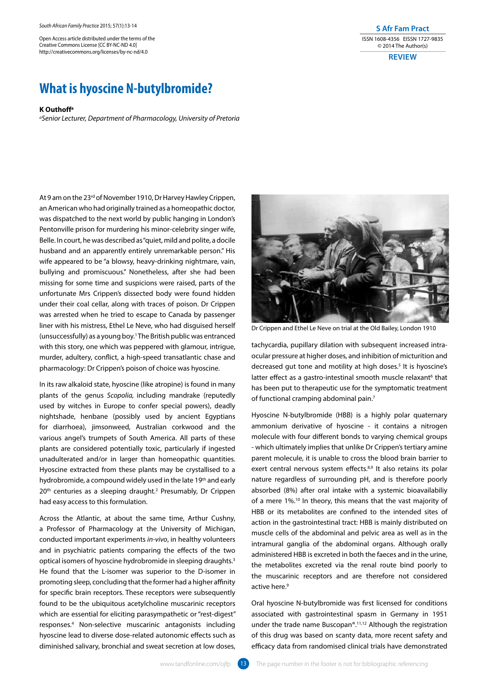Open Access article distributed under the terms of the Creative Commons License [CC BY-NC-ND 4.0] http://creativecommons.org/licenses/by-nc-nd/4.0

## **What is hyoscine N-butylbromide?**

## **K Outhoffa**

*aSenior Lecturer, Department of Pharmacology, University of Pretoria*

At 9 am on the 23<sup>rd</sup> of November 1910, Dr Harvey Hawley Crippen, an American who had originally trained as a homeopathic doctor, was dispatched to the next world by public hanging in London's Pentonville prison for murdering his minor-celebrity singer wife, Belle. In court, he was described as "quiet, mild and polite, a docile husband and an apparently entirely unremarkable person." His wife appeared to be "a blowsy, heavy-drinking nightmare, vain, bullying and promiscuous." Nonetheless, after she had been missing for some time and suspicions were raised, parts of the unfortunate Mrs Crippen's dissected body were found hidden under their coal cellar, along with traces of poison. Dr Crippen was arrested when he tried to escape to Canada by passenger liner with his mistress, Ethel Le Neve, who had disguised herself (unsuccessfully) as a young boy.1 The British public was entranced with this story, one which was peppered with glamour, intrigue, murder, adultery, conflict, a high-speed transatlantic chase and pharmacology: Dr Crippen's poison of choice was hyoscine.

In its raw alkaloid state, hyoscine (like atropine) is found in many plants of the genus *Scopolia,* including mandrake (reputedly used by witches in Europe to confer special powers), deadly nightshade, henbane (possibly used by ancient Egyptians for diarrhoea), jimsonweed, Australian corkwood and the various angel's trumpets of South America. All parts of these plants are considered potentially toxic, particularly if ingested unadulterated and/or in larger than homeopathic quantities. Hyoscine extracted from these plants may be crystallised to a hydrobromide, a compound widely used in the late 19<sup>th</sup> and early 20<sup>th</sup> centuries as a sleeping draught.<sup>2</sup> Presumably, Dr Crippen had easy access to this formulation.

Across the Atlantic, at about the same time, Arthur Cushny, a Professor of Pharmacology at the University of Michigan, conducted important experiments *in-vivo*, in healthy volunteers and in psychiatric patients comparing the effects of the two optical isomers of hyoscine hydrobromide in sleeping draughts.3 He found that the L-isomer was superior to the D-isomer in promoting sleep, concluding that the former had a higher affinity for specific brain receptors. These receptors were subsequently found to be the ubiquitous acetylcholine muscarinic receptors which are essential for eliciting parasympathetic or "rest-digest" responses.4 Non-selective muscarinic antagonists including hyoscine lead to diverse dose-related autonomic effects such as diminished salivary, bronchial and sweat secretion at low doses,



**S Afr Fam Pract** ISSN 1608-4356 EISSN 1727-9835 © 2014 The Author(s) **Review**

Dr Crippen and Ethel Le Neve on trial at the Old Bailey, London 1910

tachycardia, pupillary dilation with subsequent increased intraocular pressure at higher doses, and inhibition of micturition and decreased gut tone and motility at high doses.<sup>5</sup> It is hyoscine's latter effect as a gastro-intestinal smooth muscle relaxant<sup>6</sup> that has been put to therapeutic use for the symptomatic treatment of functional cramping abdominal pain.7

Hyoscine N-butylbromide (HBB) is a highly polar quaternary ammonium derivative of hyoscine - it contains a nitrogen molecule with four different bonds to varying chemical groups - which ultimately implies that unlike Dr Crippen's tertiary amine parent molecule, it is unable to cross the blood brain barrier to exert central nervous system effects.<sup>8,9</sup> It also retains its polar nature regardless of surrounding pH, and is therefore poorly absorbed (8%) after oral intake with a systemic bioavailabiliy of a mere 1%.<sup>10</sup> In theory, this means that the vast majority of HBB or its metabolites are confined to the intended sites of action in the gastrointestinal tract: HBB is mainly distributed on muscle cells of the abdominal and pelvic area as well as in the intramural ganglia of the abdominal organs. Although orally administered HBB is excreted in both the faeces and in the urine, the metabolites excreted via the renal route bind poorly to the muscarinic receptors and are therefore not considered active here.<sup>9</sup>

Oral hyoscine N-butylbromide was first licensed for conditions associated with gastrointestinal spasm in Germany in 1951 under the trade name Buscopan®.11,12 Although the registration of this drug was based on scanty data, more recent safety and efficacy data from randomised clinical trials have demonstrated